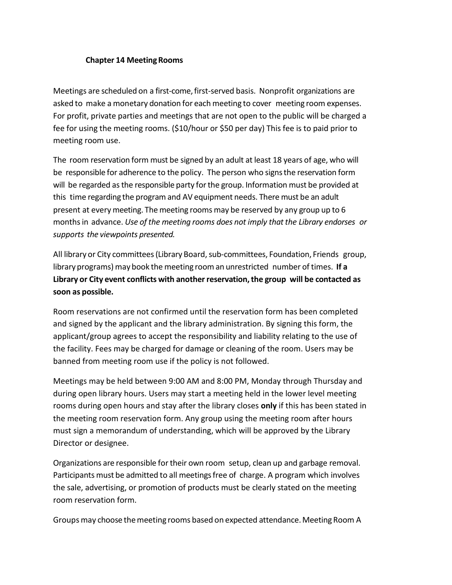## **Chapter 14 Meeting Rooms**

Meetings are scheduled on a first-come,first-served basis. Nonprofit organizations are asked to make a monetary donation for each meeting to cover meeting room expenses. For profit, private parties and meetings that are not open to the public will be charged a fee for using the meeting rooms. (\$10/hour or \$50 per day) This fee is to paid prior to meeting room use.

The room reservation form must be signed by an adult at least 18 years of age, who will be responsible for adherence to the policy. The person who signs the reservation form will be regarded as the responsible party for the group. Information must be provided at this time regarding the program and AV equipment needs. There must be an adult present at every meeting. The meeting rooms may be reserved by any group up to 6 monthsin advance. *Use of the meeting rooms does not imply thatthe Library endorses or supports the viewpoints presented.*

All library or City committees (Library Board, sub-committees, Foundation, Friends group, library programs) may book the meeting room an unrestricted number of times. If a **Library or City event conflicts with anotherreservation,the group will be contacted as soon as possible.**

Room reservations are not confirmed until the reservation form has been completed and signed by the applicant and the library administration. By signing this form, the applicant/group agrees to accept the responsibility and liability relating to the use of the facility. Fees may be charged for damage or cleaning of the room. Users may be banned from meeting room use if the policy is not followed.

Meetings may be held between 9:00 AM and 8:00 PM, Monday through Thursday and during open library hours. Users may start a meeting held in the lower level meeting rooms during open hours and stay after the library closes **only** if this has been stated in the meeting room reservation form. Any group using the meeting room after hours must sign a memorandum of understanding, which will be approved by the Library Director or designee.

Organizations are responsible for their own room setup, clean up and garbage removal. Participants must be admitted to all meetingsfree of charge. A program which involves the sale, advertising, or promotion of products must be clearly stated on the meeting room reservation form.

Groups may choose the meeting rooms based on expected attendance. Meeting Room A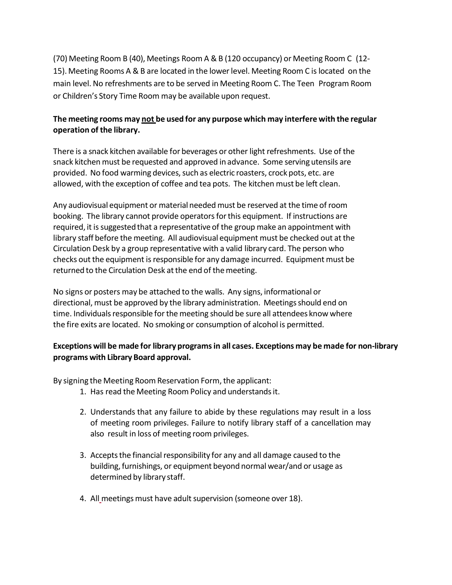(70) Meeting Room B (40), Meetings Room A &B (120 occupancy) or Meeting Room C (12- 15).Meeting Rooms A & B are located in the lowerlevel. Meeting Room C islocated on the main level. No refreshments are to be served in Meeting Room C. The Teen Program Room or Children's Story Time Room may be available upon request.

## **The meeting rooms may not be used for any purpose which may interfere with the regular operation of the library.**

There is a snack kitchen available for beverages or other light refreshments. Use of the snack kitchen must be requested and approved in advance. Some serving utensils are provided. No food warming devices, such as electric roasters, crock pots, etc. are allowed, with the exception of coffee and tea pots. The kitchen must be left clean.

Any audiovisual equipment or material needed must be reserved at the time of room booking. The library cannot provide operatorsforthis equipment. If instructions are required, it is suggested that a representative of the group make an appointment with library staff before the meeting. All audiovisual equipment must be checked out at the Circulation Desk by a group representative with a valid library card. The person who checks out the equipment is responsible for any damage incurred. Equipment must be returned to the Circulation Desk at the end of the meeting.

No signs or posters may be attached to the walls. Any signs, informational or directional, must be approved by the library administration. Meetings should end on time. Individuals responsible for the meeting should be sure all attendees know where the fire exits are located. No smoking or consumption of alcohol is permitted.

## **Exceptions will be made for library programsin all cases. Exceptions may be made for non-library programs with Library Board approval.**

By signing the Meeting Room Reservation Form, the applicant:

- 1. Has read the Meeting Room Policy and understandsit.
- 2. Understands that any failure to abide by these regulations may result in a loss of meeting room privileges. Failure to notify library staff of a cancellation may also result in loss of meeting room privileges.
- 3. Accepts the financial responsibility for any and all damage caused to the building, furnishings, or equipment beyond normal wear/and or usage as determined by library staff.
- 4. All meetings must have adult supervision (someone over 18).